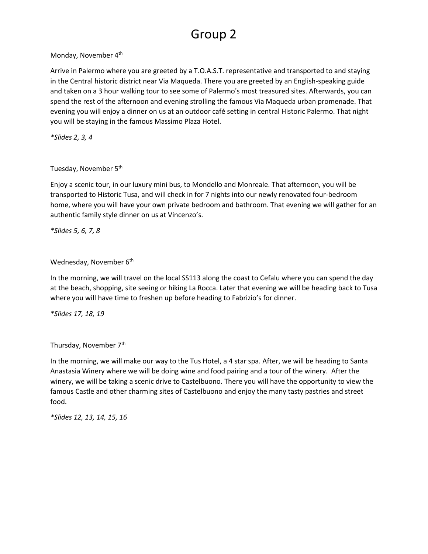# Group 2

Monday, November 4<sup>th</sup>

Arrive in Palermo where you are greeted by a T.O.A.S.T. representative and transported to and staying in the Central historic district near Via Maqueda. There you are greeted by an English-speaking guide and taken on a 3 hour walking tour to see some of Palermo's most treasured sites. Afterwards, you can spend the rest of the afternoon and evening strolling the famous Via Maqueda urban promenade. That evening you will enjoy a dinner on us at an outdoor café setting in central Historic Palermo. That night you will be staying in the famous Massimo Plaza Hotel.

*\*Slides 2, 3, 4*

Tuesday, November 5<sup>th</sup>

Enjoy a scenic tour, in our luxury mini bus, to Mondello and Monreale. That afternoon, you will be transported to Historic Tusa, and will check in for 7 nights into our newly renovated four-bedroom home, where you will have your own private bedroom and bathroom. That evening we will gather for an authentic family style dinner on us at Vincenzo's.

*\*Slides 5, 6, 7, 8*

Wednesday, November 6<sup>th</sup>

In the morning, we will travel on the local SS113 along the coast to Cefalu where you can spend the day at the beach, shopping, site seeing or hiking La Rocca. Later that evening we will be heading back to Tusa where you will have time to freshen up before heading to Fabrizio's for dinner.

*\*Slides 17, 18, 19*

Thursday, November 7<sup>th</sup>

In the morning, we will make our way to the Tus Hotel, a 4 star spa. After, we will be heading to Santa Anastasia Winery where we will be doing wine and food pairing and a tour of the winery. After the winery, we will be taking a scenic drive to Castelbuono. There you will have the opportunity to view the famous Castle and other charming sites of Castelbuono and enjoy the many tasty pastries and street food.

*\*Slides 12, 13, 14, 15, 16*